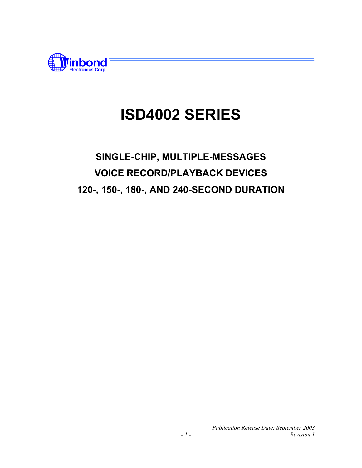

## **SINGLE-CHIP, MULTIPLE-MESSAGES VOICE RECORD/PLAYBACK DEVICES 120-, 150-, 180-, AND 240-SECOND DURATION**

*Publication Release Date: September 2003 - 1 - Revision 1*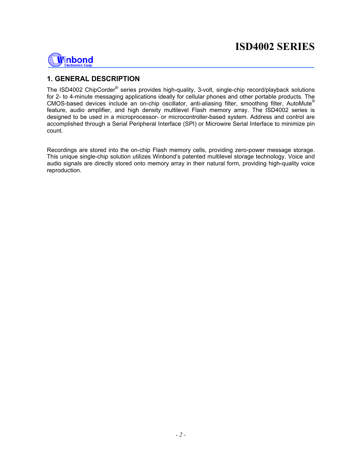

#### **1. GENERAL DESCRIPTION**

The ISD4002 ChipCorder<sup>®</sup> series provides high-quality, 3-volt, single-chip record/playback solutions for 2- to 4-minute messaging applications ideally for cellular phones and other portable products. The CMOS-based devices include an on-chip oscillator, anti-aliasing filter, smoothing filter, AutoMute® feature, audio amplifier, and high density multilevel Flash memory array. The ISD4002 series is designed to be used in a microprocessor- or microcontroller-based system. Address and control are accomplished through a Serial Peripheral Interface (SPI) or Microwire Serial Interface to minimize pin count.

Recordings are stored into the on-chip Flash memory cells, providing zero-power message storage. This unique single-chip solution utilizes Winbond's patented multilevel storage technology. Voice and audio signals are directly stored onto memory array in their natural form, providing high-quality voice reproduction.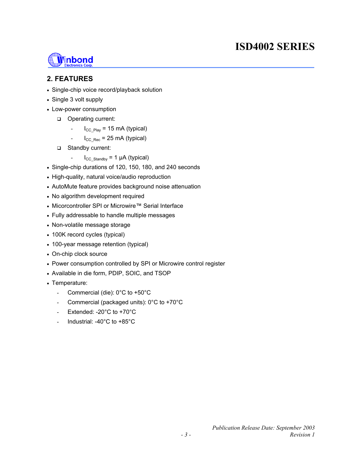

#### **2. FEATURES**

- Single-chip voice record/playback solution
- Single 3 volt supply
- Low-power consumption
	- Operating current:
		- $I_{CC\text{Play}}$  = 15 mA (typical)
		- $I_{CC|Rec}$  = 25 mA (typical)
	- □ Standby current:
		- $I_{CC\;Standby} = 1 \mu A$  (typical)
- Single-chip durations of 120, 150, 180, and 240 seconds
- High-quality, natural voice/audio reproduction
- AutoMute feature provides background noise attenuation
- No algorithm development required
- Micorcontroller SPI or Microwire™ Serial Interface
- Fully addressable to handle multiple messages
- Non-volatile message storage
- 100K record cycles (typical)
- 100-year message retention (typical)
- On-chip clock source
- Power consumption controlled by SPI or Microwire control register
- Available in die form, PDIP, SOIC, and TSOP
- Temperature:
	- Commercial (die): 0°C to +50°C
	- Commercial (packaged units):  $0^{\circ}$ C to +70 $^{\circ}$ C
	- Extended: 20°C to +70°C
	- Industrial: -40°C to +85°C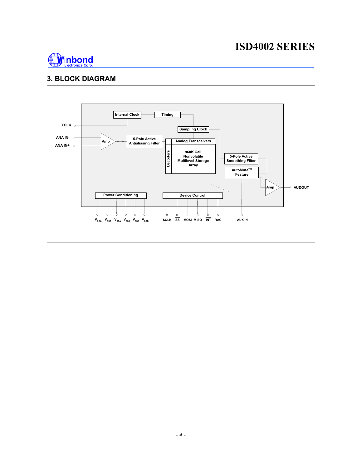

#### **3. BLOCK DIAGRAM**

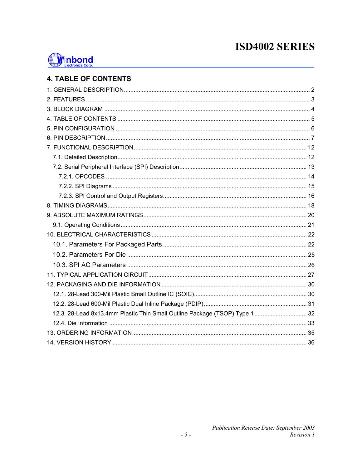

### **4. TABLE OF CONTENTS**

| 12.3. 28-Lead 8x13.4mm Plastic Thin Small Outline Package (TSOP) Type 1 32 |  |
|----------------------------------------------------------------------------|--|
|                                                                            |  |
|                                                                            |  |
|                                                                            |  |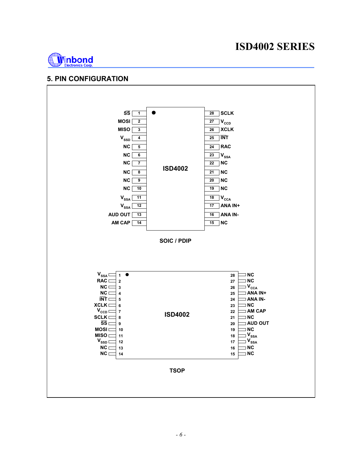

#### **5. PIN CONFIGURATION**

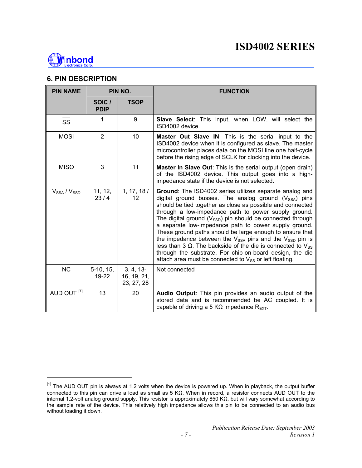

l

#### **6. PIN DESCRIPTION**

| <b>PIN NAME</b>        | PIN NO.               |                                       | <b>FUNCTION</b>                                                                                                                                                                                                                                                                                                                                                                                                                                                                                                                                                                                                                                                                                             |  |
|------------------------|-----------------------|---------------------------------------|-------------------------------------------------------------------------------------------------------------------------------------------------------------------------------------------------------------------------------------------------------------------------------------------------------------------------------------------------------------------------------------------------------------------------------------------------------------------------------------------------------------------------------------------------------------------------------------------------------------------------------------------------------------------------------------------------------------|--|
|                        | SOIC /<br><b>PDIP</b> | <b>TSOP</b>                           |                                                                                                                                                                                                                                                                                                                                                                                                                                                                                                                                                                                                                                                                                                             |  |
| SS                     | 1                     | 9                                     | Slave Select: This input, when LOW, will select the<br>ISD4002 device.                                                                                                                                                                                                                                                                                                                                                                                                                                                                                                                                                                                                                                      |  |
| <b>MOSI</b>            | $\overline{2}$        | 10                                    | <b>Master Out Slave IN:</b> This is the serial input to the<br>ISD4002 device when it is configured as slave. The master<br>microcontroller places data on the MOSI line one half-cycle<br>before the rising edge of SCLK for clocking into the device.                                                                                                                                                                                                                                                                                                                                                                                                                                                     |  |
| <b>MISO</b>            | 3                     | 11                                    | <b>Master In Slave Out:</b> This is the serial output (open drain)<br>of the ISD4002 device. This output goes into a high-<br>impedance state if the device is not selected.                                                                                                                                                                                                                                                                                                                                                                                                                                                                                                                                |  |
| $V_{SSA}$ / $V_{SSD}$  | 11, 12,<br>23/4       | 1, 17, 18/<br>12                      | Ground: The ISD4002 series utilizes separate analog and<br>digital ground busses. The analog ground $(V_{SSA})$ pins<br>should be tied together as close as possible and connected<br>through a low-impedance path to power supply ground.<br>The digital ground $(V_{\text{SSD}})$ pin should be connected through<br>a separate low-impedance path to power supply ground.<br>These ground paths should be large enough to ensure that<br>the impedance between the $V_{SSA}$ pins and the $V_{SSD}$ pin is<br>less than 3 Ω. The backside of the die is connected to $V_{SS}$<br>through the substrate. For chip-on-board design, the die<br>attach area must be connected to $V_{SS}$ or left floating. |  |
| <b>NC</b>              | $5-10, 15,$<br>19-22  | 3, 4, 13<br>16, 19, 21,<br>23, 27, 28 | Not connected                                                                                                                                                                                                                                                                                                                                                                                                                                                                                                                                                                                                                                                                                               |  |
| AUD OUT <sup>[1]</sup> | 13                    | 20                                    | Audio Output: This pin provides an audio output of the<br>stored data and is recommended be AC coupled. It is<br>capable of driving a 5 KQ impedance $R_{\text{EXT}}$ .                                                                                                                                                                                                                                                                                                                                                                                                                                                                                                                                     |  |

<sup>[1]</sup> The AUD OUT pin is always at 1.2 volts when the device is powered up. When in playback, the output buffer connected to this pin can drive a load as small as 5 KΩ. When in record, a resistor connects AUD OUT to the internal 1.2-volt analog ground supply. This resistor is approximately 850 KΩ, but will vary somewhat according to the sample rate of the device. This relatively high impedance allows this pin to be connected to an audio bus without loading it down.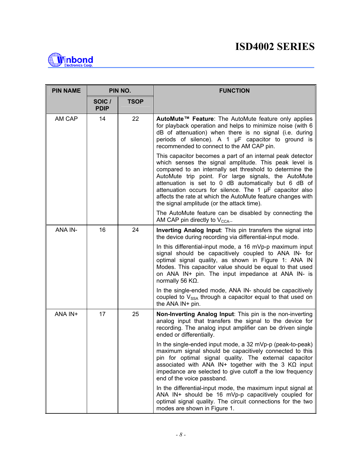

| <b>PIN NAME</b> | PIN NO.               |             | <b>FUNCTION</b>                                                                                                                                                                                                                                                                                                                                                                                                                                                         |  |
|-----------------|-----------------------|-------------|-------------------------------------------------------------------------------------------------------------------------------------------------------------------------------------------------------------------------------------------------------------------------------------------------------------------------------------------------------------------------------------------------------------------------------------------------------------------------|--|
|                 | SOIC /<br><b>PDIP</b> | <b>TSOP</b> |                                                                                                                                                                                                                                                                                                                                                                                                                                                                         |  |
| AM CAP          | 14                    | 22          | AutoMute™ Feature: The AutoMute feature only applies<br>for playback operation and helps to minimize noise (with 6<br>dB of attenuation) when there is no signal (i.e. during<br>periods of silence). A 1 µF capacitor to ground is<br>recommended to connect to the AM CAP pin.                                                                                                                                                                                        |  |
|                 |                       |             | This capacitor becomes a part of an internal peak detector<br>which senses the signal amplitude. This peak level is<br>compared to an internally set threshold to determine the<br>AutoMute trip point. For large signals, the AutoMute<br>attenuation is set to 0 dB automatically but 6 dB of<br>attenuation occurs for silence. The 1 µF capacitor also<br>affects the rate at which the AutoMute feature changes with<br>the signal amplitude (or the attack time). |  |
|                 |                       |             | The AutoMute feature can be disabled by connecting the<br>AM CAP pin directly to $V_{\text{CCA}}$ .                                                                                                                                                                                                                                                                                                                                                                     |  |
| ANA IN-         | 16                    | 24          | Inverting Analog Input: This pin transfers the signal into<br>the device during recording via differential-input mode.                                                                                                                                                                                                                                                                                                                                                  |  |
|                 |                       |             | In this differential-input mode, a 16 mVp-p maximum input<br>signal should be capacitively coupled to ANA IN- for<br>optimal signal quality, as shown in Figure 1: ANA IN<br>Modes. This capacitor value should be equal to that used<br>on ANA IN+ pin. The input impedance at ANA IN- is<br>normally 56 $K\Omega$ .                                                                                                                                                   |  |
|                 |                       |             | In the single-ended mode, ANA IN- should be capacitively<br>coupled to $V_{SSA}$ through a capacitor equal to that used on<br>the ANA IN+ pin.                                                                                                                                                                                                                                                                                                                          |  |
| ANA IN+         | 17                    | 25          | Non-Inverting Analog Input: This pin is the non-inverting<br>analog input that transfers the signal to the device for<br>recording. The analog input amplifier can be driven single<br>ended or differentially.                                                                                                                                                                                                                                                         |  |
|                 |                       |             | In the single-ended input mode, a $32 \text{ mVp-p}$ (peak-to-peak)<br>maximum signal should be capacitively connected to this<br>pin for optimal signal quality. The external capacitor<br>associated with ANA IN+ together with the 3 $K\Omega$ input<br>impedance are selected to give cutoff a the low frequency<br>end of the voice passband.                                                                                                                      |  |
|                 |                       |             | In the differential-input mode, the maximum input signal at<br>ANA IN+ should be 16 mVp-p capacitively coupled for<br>optimal signal quality. The circuit connections for the two<br>modes are shown in Figure 1.                                                                                                                                                                                                                                                       |  |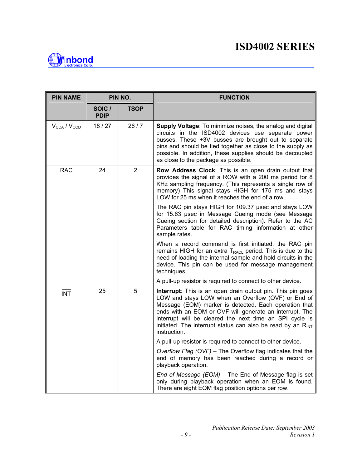

| <b>PIN NAME</b>                     |                       | PIN NO.        | <b>FUNCTION</b>                                                                                                                                                                                                                                                                                                                                                                     |
|-------------------------------------|-----------------------|----------------|-------------------------------------------------------------------------------------------------------------------------------------------------------------------------------------------------------------------------------------------------------------------------------------------------------------------------------------------------------------------------------------|
|                                     | SOIC /<br><b>PDIP</b> | TSOP           |                                                                                                                                                                                                                                                                                                                                                                                     |
| $V_{\text{CCA}}$ / $V_{\text{CCD}}$ | 18/27                 | 26/7           | Supply Voltage: To minimize noises, the analog and digital<br>circuits in the ISD4002 devices use separate power<br>busses. These +3V busses are brought out to separate<br>pins and should be tied together as close to the supply as<br>possible. In addition, these supplies should be decoupled<br>as close to the package as possible.                                         |
| <b>RAC</b>                          | 24                    | $\overline{2}$ | Row Address Clock: This is an open drain output that<br>provides the signal of a ROW with a 200 ms period for 8<br>KHz sampling frequency. (This represents a single row of<br>memory) This signal stays HIGH for 175 ms and stays<br>LOW for 25 ms when it reaches the end of a row.                                                                                               |
|                                     |                       |                | The RAC pin stays HIGH for 109.37 usec and stays LOW<br>for 15.63 µsec in Message Cueing mode (see Message<br>Cueing section for detailed description). Refer to the AC<br>Parameters table for RAC timing information at other<br>sample rates.                                                                                                                                    |
|                                     |                       |                | When a record command is first initiated, the RAC pin<br>remains HIGH for an extra $T_{RACL}$ period. This is due to the<br>need of loading the internal sample and hold circuits in the<br>device. This pin can be used for message management<br>techniques.                                                                                                                      |
|                                     |                       |                | A pull-up resistor is required to connect to other device.                                                                                                                                                                                                                                                                                                                          |
| <b>INT</b>                          | 25                    | 5              | Interrupt: This is an open drain output pin. This pin goes<br>LOW and stays LOW when an Overflow (OVF) or End of<br>Message (EOM) marker is detected. Each operation that<br>ends with an EOM or OVF will generate an interrupt. The<br>interrupt will be cleared the next time an SPI cycle is<br>initiated. The interrupt status can also be read by an $R_{INT}$<br>instruction. |
|                                     |                       |                | A pull-up resistor is required to connect to other device.                                                                                                                                                                                                                                                                                                                          |
|                                     |                       |                | Overflow Flag (OVF) - The Overflow flag indicates that the<br>end of memory has been reached during a record or<br>playback operation.                                                                                                                                                                                                                                              |
|                                     |                       |                | End of Message (EOM) - The End of Message flag is set<br>only during playback operation when an EOM is found.<br>There are eight EOM flag position options per row.                                                                                                                                                                                                                 |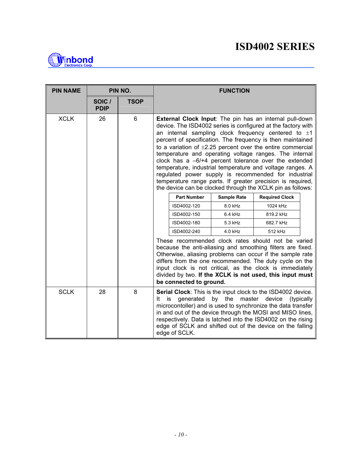

| <b>PIN NAME</b> | PIN NO.               |             | <b>FUNCTION</b>                                                                                                                                                                                                                                                                                                                                                                                                                                                                                                                                                                                                                                                                            |                    |                       |  |  |
|-----------------|-----------------------|-------------|--------------------------------------------------------------------------------------------------------------------------------------------------------------------------------------------------------------------------------------------------------------------------------------------------------------------------------------------------------------------------------------------------------------------------------------------------------------------------------------------------------------------------------------------------------------------------------------------------------------------------------------------------------------------------------------------|--------------------|-----------------------|--|--|
|                 | SOIC /<br><b>PDIP</b> | <b>TSOP</b> |                                                                                                                                                                                                                                                                                                                                                                                                                                                                                                                                                                                                                                                                                            |                    |                       |  |  |
| <b>XCLK</b>     | 26                    | 6           | External Clock Input: The pin has an internal pull-down<br>device. The ISD4002 series is configured at the factory with<br>an internal sampling clock frequency centered to $\pm 1$<br>percent of specification. The frequency is then maintained<br>to a variation of $\pm 2.25$ percent over the entire commercial<br>temperature and operating voltage ranges. The internal<br>clock has a $-6/+4$ percent tolerance over the extended<br>temperature, industrial temperature and voltage ranges. A<br>regulated power supply is recommended for industrial<br>temperature range parts. If greater precision is required,<br>the device can be clocked through the XCLK pin as follows: |                    |                       |  |  |
|                 |                       |             | <b>Part Number</b>                                                                                                                                                                                                                                                                                                                                                                                                                                                                                                                                                                                                                                                                         | <b>Sample Rate</b> | <b>Required Clock</b> |  |  |
|                 |                       |             | ISD4002-120                                                                                                                                                                                                                                                                                                                                                                                                                                                                                                                                                                                                                                                                                | 8.0 kHz            | 1024 kHz              |  |  |
|                 |                       |             | ISD4002-150                                                                                                                                                                                                                                                                                                                                                                                                                                                                                                                                                                                                                                                                                | $6.4$ kHz          | 819.2 kHz             |  |  |
|                 |                       |             | ISD4002-180                                                                                                                                                                                                                                                                                                                                                                                                                                                                                                                                                                                                                                                                                | 5.3 kHz            | 682.7 kHz             |  |  |
|                 |                       |             | ISD4002-240<br>4.0 kHz<br>512 kHz                                                                                                                                                                                                                                                                                                                                                                                                                                                                                                                                                                                                                                                          |                    |                       |  |  |
|                 |                       |             | These recommended clock rates should not be varied<br>because the anti-aliasing and smoothing filters are fixed.<br>Otherwise, aliasing problems can occur if the sample rate<br>differs from the one recommended. The duty cycle on the<br>input clock is not critical, as the clock is immediately<br>divided by two. If the XCLK is not used, this input must<br>be connected to ground.                                                                                                                                                                                                                                                                                                |                    |                       |  |  |
| <b>SCLK</b>     | 28                    | 8           | Serial Clock: This is the input clock to the ISD4002 device.<br>generated<br>by the<br>master<br>device<br>(typically<br>It<br>is<br>microcontoller) and is used to synchronize the data transfer<br>in and out of the device through the MOSI and MISO lines,<br>respectively. Data is latched into the ISD4002 on the rising<br>edge of SCLK and shifted out of the device on the falling<br>edge of SCLK.                                                                                                                                                                                                                                                                               |                    |                       |  |  |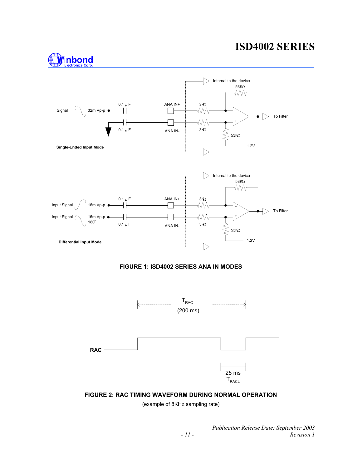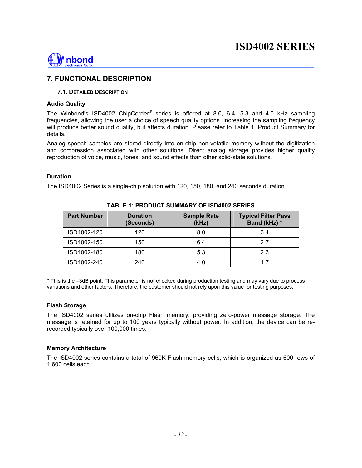

#### **7. FUNCTIONAL DESCRIPTION**

#### **7.1. DETAILED DESCRIPTION**

#### **Audio Quality**

The Winbond's ISD4002 ChipCorder<sup>®</sup> series is offered at 8.0, 6.4, 5.3 and 4.0 kHz sampling frequencies, allowing the user a choice of speech quality options. Increasing the sampling frequency will produce better sound quality, but affects duration. Please refer to Table 1: Product Summary for details.

Analog speech samples are stored directly into on-chip non-volatile memory without the digitization and compression associated with other solutions. Direct analog storage provides higher quality reproduction of voice, music, tones, and sound effects than other solid-state solutions.

#### **Duration**

The ISD4002 Series is a single-chip solution with 120, 150, 180, and 240 seconds duration.

| <b>Part Number</b> | <b>Duration</b><br>(Seconds) | <b>Sample Rate</b><br>(kHz) | <b>Typical Filter Pass</b><br>Band (kHz) * |
|--------------------|------------------------------|-----------------------------|--------------------------------------------|
| ISD4002-120        | 120                          | 8.0                         | 3.4                                        |
| ISD4002-150        | 150                          | 6.4                         | 27                                         |
| ISD4002-180        | 180                          | 5.3                         | 2.3                                        |
| ISD4002-240        | 240                          | 4.0                         |                                            |

#### **TABLE 1: PRODUCT SUMMARY OF ISD4002 SERIES**

\* This is the –3dB point. This parameter is not checked during production testing and may vary due to process variations and other factors. Therefore, the customer should not rely upon this value for testing purposes.

#### **Flash Storage**

The ISD4002 series utilizes on-chip Flash memory, providing zero-power message storage. The message is retained for up to 100 years typically without power. In addition, the device can be rerecorded typically over 100,000 times.

#### **Memory Architecture**

The ISD4002 series contains a total of 960K Flash memory cells, which is organized as 600 rows of 1,600 cells each.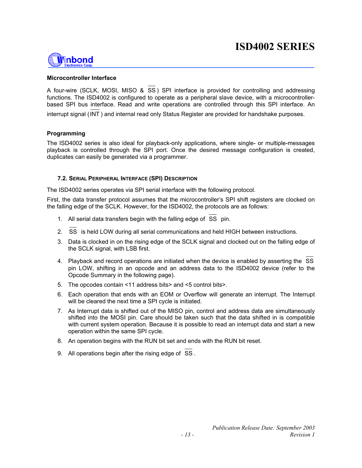

#### **Microcontroller Interface**

A four-wire (SCLK, MOSI, MISO & SS ) SPI interface is provided for controlling and addressing functions. The ISD4002 is configured to operate as a peripheral slave device, with a microcontrollerbased SPI bus interface. Read and write operations are controlled through this SPI interface. An

interrupt signal (INT ) and internal read only Status Register are provided for handshake purposes.

#### **Programming**

The ISD4002 series is also ideal for playback-only applications, where single- or multiple-messages playback is controlled through the SPI port. Once the desired message configuration is created, duplicates can easily be generated via a programmer.

#### **7.2. SERIAL PERIPHERAL INTERFACE (SPI) DESCRIPTION**

The ISD4002 series operates via SPI serial interface with the following protocol.

First, the data transfer protocol assumes that the microcontroller's SPI shift registers are clocked on the falling edge of the SCLK. However, for the ISD4002, the protocols are as follows:

- 1. All serial data transfers begin with the falling edge of  $\overline{SS}$  pin.
- 2. SS is held LOW during all serial communications and held HIGH between instructions.
- 3. Data is clocked in on the rising edge of the SCLK signal and clocked out on the falling edge of the SCLK signal, with LSB first.
- 4. Playback and record operations are initiated when the device is enabled by asserting the SS pin LOW, shifting in an opcode and an address data to the ISD4002 device (refer to the Opcode Summary in the following page).
- 5. The opcodes contain <11 address bits> and <5 control bits>.
- 6. Each operation that ends with an EOM or Overflow will generate an interrupt. The Interrupt will be cleared the next time a SPI cycle is initiated.
- 7. As Interrupt data is shifted out of the MISO pin, control and address data are simultaneously shifted into the MOSI pin. Care should be taken such that the data shifted in is compatible with current system operation. Because it is possible to read an interrupt data and start a new operation within the same SPI cycle.
- 8. An operation begins with the RUN bit set and ends with the RUN bit reset.
- 9. All operations begin after the rising edge of SS .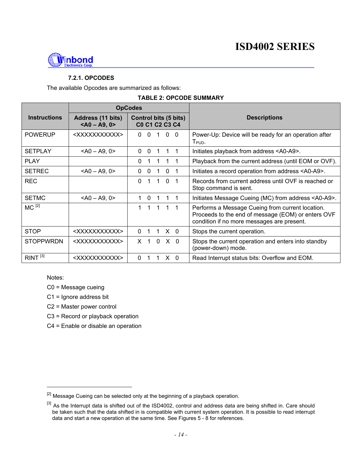

#### **7.2.1. OPCODES**

The available Opcodes are summarized as follows:

#### **TABLE 2: OPCODE SUMMARY**

|                     | <b>OpCodes</b>                       |                                                       |                                                                                                                                                      |
|---------------------|--------------------------------------|-------------------------------------------------------|------------------------------------------------------------------------------------------------------------------------------------------------------|
| <b>Instructions</b> | Address (11 bits)<br>$<$ A0 - A9, 0> | <b>Control bits (5 bits)</b><br><b>C0 C1 C2 C3 C4</b> | <b>Descriptions</b>                                                                                                                                  |
| <b>POWERUP</b>      | <xxxxxxxxxxx></xxxxxxxxxxx>          | $0\quad 0$<br>$\Omega$<br>$\Omega$<br>1               | Power-Up: Device will be ready for an operation after<br>$T_{\sf PUD}.$                                                                              |
| <b>SETPLAY</b>      | $<$ A0 - A9, 0>                      | $\Omega$<br>$\Omega$<br>1                             | Initiates playback from address <a0-a9>.</a0-a9>                                                                                                     |
| <b>PLAY</b>         |                                      | $\Omega$                                              | Playback from the current address (until EOM or OVF).                                                                                                |
| <b>SETREC</b>       | $<$ A0 - A9, 0>                      | $\Omega$<br>$\Omega$<br>$\Omega$<br>-1                | Initiates a record operation from address <a0-a9>.</a0-a9>                                                                                           |
| <b>REC</b>          |                                      | $\Omega$<br>$\Omega$<br>1<br>1                        | Records from current address until OVF is reached or<br>Stop command is sent.                                                                        |
| <b>SETMC</b>        | $<$ A0 - A9, 0>                      | $\Omega$<br>1                                         | Initiates Message Cueing (MC) from address <a0-a9>.</a0-a9>                                                                                          |
| $MC$ <sup>[2]</sup> |                                      | $\mathbf{1}$<br>1<br>1.<br>$1 \quad 1$                | Performs a Message Cueing from current location.<br>Proceeds to the end of message (EOM) or enters OVF<br>condition if no more messages are present. |
| <b>STOP</b>         | <xxxxxxxxxxx></xxxxxxxxxxx>          | $X \quad 0$<br>$\Omega$                               | Stops the current operation.                                                                                                                         |
| <b>STOPPWRDN</b>    | <xxxxxxxxxxx></xxxxxxxxxxx>          | X <sub>0</sub><br>$\mathbf 0$<br>$X \quad 1$          | Stops the current operation and enters into standby<br>(power-down) mode.                                                                            |
| RINT <sup>[3]</sup> | <xxxxxxxxxxx></xxxxxxxxxxx>          | $\Omega$<br>X.<br>$\Omega$                            | Read Interrupt status bits: Overflow and EOM.                                                                                                        |

Notes:

l

- C0 = Message cueing
- C1 = Ignore address bit
- C2 = Master power control
- C3 = Record or playback operation
- C4 = Enable or disable an operation

<sup>&</sup>lt;sup>[2]</sup> Message Cueing can be selected only at the beginning of a playback operation.

<sup>&</sup>lt;sup>[3]</sup> As the Interrupt data is shifted out of the ISD4002, control and address data are being shifted in. Care should be taken such that the data shifted in is compatible with current system operation. It is possible to read interrupt data and start a new operation at the same time. See Figures 5 - 8 for references.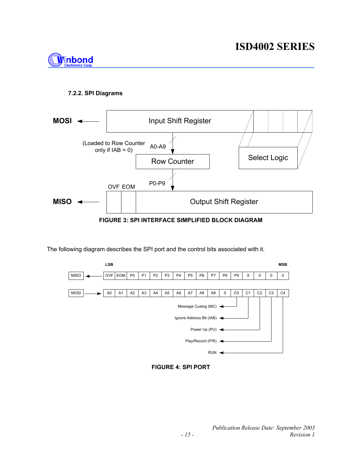

#### **7.2.2. SPI Diagrams**



**FIGURE 3: SPI INTERFACE SIMPLIFIED BLOCK DIAGRAM** 

The following diagram describes the SPI port and the control bits associated with it.



**FIGURE 4: SPI PORT**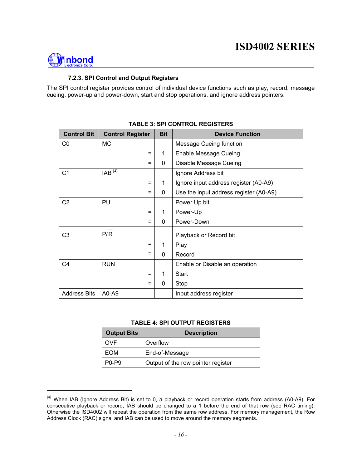

l

#### **7.2.3. SPI Control and Output Registers**

The SPI control register provides control of individual device functions such as play, record, message cueing, power-up and power-down, start and stop operations, and ignore address pointers.

| <b>Control Bit</b>  | <b>Control Register</b> | <b>Bit</b> | <b>Device Function</b>                 |
|---------------------|-------------------------|------------|----------------------------------------|
| CO                  | <b>MC</b>               |            | Message Cueing function                |
|                     | $=$                     | 1          | Enable Message Cueing                  |
|                     | $=$                     | 0          | Disable Message Cueing                 |
| C <sub>1</sub>      | $IAB$ <sup>[4]</sup>    |            | Ignore Address bit                     |
|                     | Ξ                       | 1          | Ignore input address register (A0-A9)  |
|                     | $\equiv$                | 0          | Use the input address register (A0-A9) |
| C <sub>2</sub>      | PU                      |            | Power Up bit                           |
|                     | $=$                     | 1          | Power-Up                               |
|                     | Ξ                       | 0          | Power-Down                             |
| C <sub>3</sub>      | P/R                     |            | Playback or Record bit                 |
|                     | Ξ                       | 1          | Play                                   |
|                     | Ξ                       | $\Omega$   | Record                                 |
| C <sub>4</sub>      | <b>RUN</b>              |            | Enable or Disable an operation         |
|                     | $=$                     | 1          | <b>Start</b>                           |
|                     | $=$                     | 0          | Stop                                   |
| <b>Address Bits</b> | A0-A9                   |            | Input address register                 |

#### **TABLE 3: SPI CONTROL REGISTERS**

#### **TABLE 4: SPI OUTPUT REGISTERS**

| <b>Output Bits</b>             | <b>Description</b>                 |
|--------------------------------|------------------------------------|
| OVF                            | Overflow                           |
| EOM                            | End-of-Message                     |
| P <sub>0</sub> -P <sub>9</sub> | Output of the row pointer register |

<sup>[4]</sup> When IAB (Ignore Address Bit) is set to 0, a playback or record operation starts from address (A0-A9). For consecutive playback or record, IAB should be changed to a 1 before the end of that row (see RAC timing). Otherwise the ISD4002 will repeat the operation from the same row address. For memory management, the Row Address Clock (RAC) signal and IAB can be used to move around the memory segments.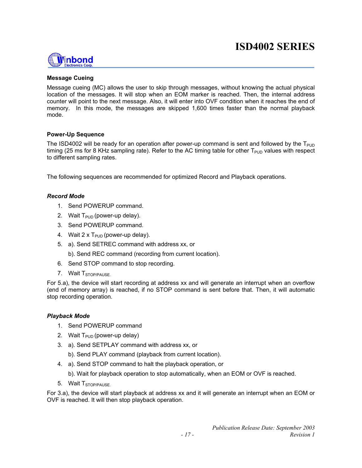

#### **Message Cueing**

Message cueing (MC) allows the user to skip through messages, without knowing the actual physical location of the messages. It will stop when an EOM marker is reached. Then, the internal address counter will point to the next message. Also, it will enter into OVF condition when it reaches the end of memory. In this mode, the messages are skipped 1,600 times faster than the normal playback mode.

#### **Power-Up Sequence**

The ISD4002 will be ready for an operation after power-up command is sent and followed by the  $T_{\text{PID}}$ timing (25 ms for 8 KHz sampling rate). Refer to the AC timing table for other  $T_{\text{PID}}$  values with respect to different sampling rates.

The following sequences are recommended for optimized Record and Playback operations.

#### *Record Mode*

- 1. Send POWERUP command.
- 2. Wait  $T_{PID}$  (power-up delay).
- 3. Send POWERUP command.
- 4. Wait  $2 \times T_{\text{PID}}$  (power-up delay).
- 5. a). Send SETREC command with address xx, or

b). Send REC command (recording from current location).

- 6. Send STOP command to stop recording.
- 7. Wait T<sub>STOP/PAUSE.</sub>

For 5.a), the device will start recording at address xx and will generate an interrupt when an overflow (end of memory array) is reached, if no STOP command is sent before that. Then, it will automatic stop recording operation.

#### *Playback Mode*

- 1. Send POWERUP command
- 2. Wait  $T_{\text{PID}}$  (power-up delay)
- 3. a). Send SETPLAY command with address xx, or
	- b). Send PLAY command (playback from current location).
- 4. a). Send STOP command to halt the playback operation, or
	- b). Wait for playback operation to stop automatically, when an EOM or OVF is reached.
- 5. Wait T<sub>STOP/PAUSE.</sub>

For 3.a), the device will start playback at address xx and it will generate an interrupt when an EOM or OVF is reached. It will then stop playback operation.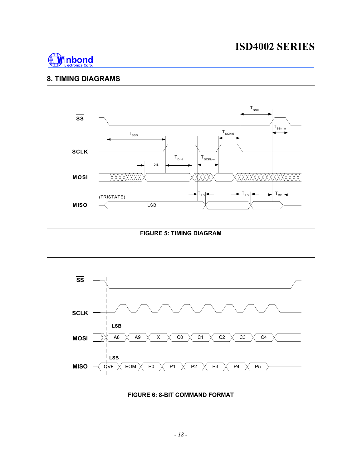

#### **8. TIMING DIAGRAMS**



**FIGURE 5: TIMING DIAGRAM** 



#### **FIGURE 6: 8-BIT COMMAND FORMAT**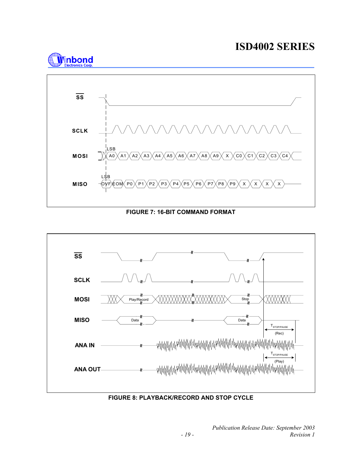



**FIGURE 7: 16-BIT COMMAND FORMAT** 



**FIGURE 8: PLAYBACK/RECORD AND STOP CYCLE**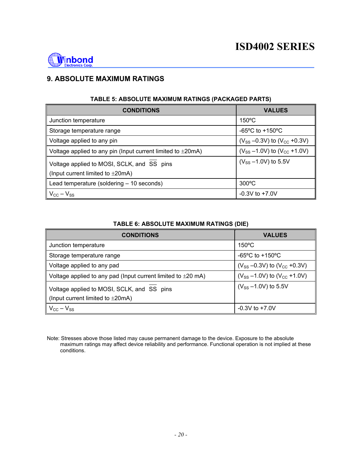

#### **9. ABSOLUTE MAXIMUM RATINGS**

| <b>CONDITIONS</b>                                                                            | <b>VALUES</b>                            |  |  |  |  |  |
|----------------------------------------------------------------------------------------------|------------------------------------------|--|--|--|--|--|
| Junction temperature                                                                         | $150^{\circ}$ C                          |  |  |  |  |  |
| Storage temperature range                                                                    | $-65^{\circ}$ C to $+150^{\circ}$ C      |  |  |  |  |  |
| Voltage applied to any pin                                                                   | $(V_{SS} - 0.3V)$ to $(V_{CC} + 0.3V)$   |  |  |  |  |  |
| Voltage applied to any pin (Input current limited to $\pm 20 \text{mA}$ )                    | $(V_{SS} - 1.0 V)$ to $(V_{CC} + 1.0 V)$ |  |  |  |  |  |
| Voltage applied to MOSI, SCLK, and SS pins<br>(Input current limited to $\pm 20 \text{mA}$ ) | $(V_{SS} - 1.0V)$ to 5.5V                |  |  |  |  |  |
| Lead temperature (soldering - 10 seconds)                                                    | $300^{\circ}$ C                          |  |  |  |  |  |
| $V_{\text{CC}} - V_{\text{SS}}$                                                              | $-0.3V$ to $+7.0V$                       |  |  |  |  |  |

#### **TABLE 5: ABSOLUTE MAXIMUM RATINGS (PACKAGED PARTS)**

#### **TABLE 6: ABSOLUTE MAXIMUM RATINGS (DIE)**

| <b>CONDITIONS</b>                                                                            | <b>VALUES</b>                          |
|----------------------------------------------------------------------------------------------|----------------------------------------|
| Junction temperature                                                                         | $150^{\circ}$ C                        |
| Storage temperature range                                                                    | $-65^{\circ}$ C to $+150^{\circ}$ C    |
| Voltage applied to any pad                                                                   | $(V_{SS} - 0.3V)$ to $(V_{CC} + 0.3V)$ |
| Voltage applied to any pad (Input current limited to $\pm 20$ mA)                            | $(V_{SS} - 1.0V)$ to $(V_{CC} + 1.0V)$ |
| Voltage applied to MOSI, SCLK, and SS pins<br>(Input current limited to $\pm 20 \text{mA}$ ) | $(V_{SS} - 1.0 V)$ to 5.5V             |
| $V_{\text{CC}} - V_{\text{SS}}$                                                              | $-0.3V$ to $+7.0V$                     |

Note: Stresses above those listed may cause permanent damage to the device. Exposure to the absolute maximum ratings may affect device reliability and performance. Functional operation is not implied at these conditions.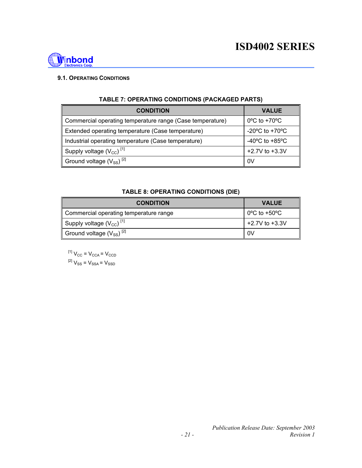

#### **9.1. OPERATING CONDITIONS**

| <b>CONDITION</b>                                          | <b>VALUE</b>                                         |
|-----------------------------------------------------------|------------------------------------------------------|
| Commercial operating temperature range (Case temperature) | $0^{\circ}$ C to +70 $^{\circ}$ C                    |
| Extended operating temperature (Case temperature)         | -20 $\mathrm{^{\circ}C}$ to +70 $\mathrm{^{\circ}C}$ |
| Industrial operating temperature (Case temperature)       | $-40^{\circ}$ C to $+85^{\circ}$ C                   |
| Supply voltage $(V_{CC})$ <sup>[1]</sup>                  | +2.7V to +3.3V                                       |
| Ground voltage (V <sub>SS</sub> ) <sup>[2]</sup>          | 0V                                                   |

#### **TABLE 7: OPERATING CONDITIONS (PACKAGED PARTS)**

#### **TABLE 8: OPERATING CONDITIONS (DIE)**

| <b>CONDITION</b>                         | <b>VALUE</b>                      |
|------------------------------------------|-----------------------------------|
| Commercial operating temperature range   | $0^{\circ}$ C to +50 $^{\circ}$ C |
| Supply voltage $(V_{CC})$ <sup>[1]</sup> | $+2.7V$ to $+3.3V$                |
| Ground voltage $(V_{SS})^{[2]}$          | 0V                                |

 $^{[1]}$  V<sub>CC</sub> = V<sub>CCA</sub> = V<sub>CCD</sub>  ${}^{[2]}V_{\rm SS} = V_{\rm SSA} = V_{\rm SSD}$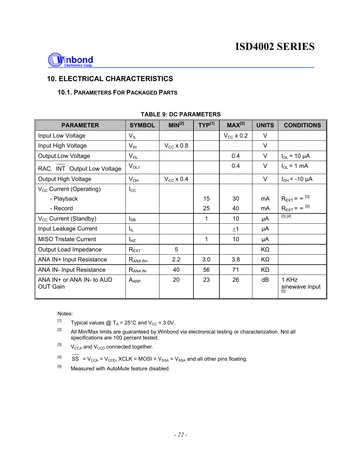

#### **10. ELECTRICAL CHARACTERISTICS**

#### **10.1. PARAMETERS FOR PACKAGED PARTS**

| <b>PARAMETER</b>                                   | <b>SYMBOL</b>    | MIN <sup>[2]</sup> | $TYP^{[1]}$ | $MAX^{[2]}$        | <b>UNITS</b> | <b>CONDITIONS</b>              |
|----------------------------------------------------|------------------|--------------------|-------------|--------------------|--------------|--------------------------------|
| Input Low Voltage                                  | $V_{IL}$         |                    |             | $V_{\rm CC}$ x 0.2 | $\vee$       |                                |
| Input High Voltage                                 | V <sub>IH</sub>  | $V_{CC}$ x 0.8     |             |                    | $\vee$       |                                |
| <b>Output Low Voltage</b>                          | $V_{OL}$         |                    |             | 0.4                | V            | $I_{OL}$ = 10 µA               |
| RAC, INT Output Low Voltage                        | $V_{OL1}$        |                    |             | 0.4                | $\vee$       | $I_{OL}$ = 1 mA                |
| Output High Voltage                                | $V_{OH}$         | $V_{CC}$ x 0.4     |             |                    | V            | $I_{OH} = -10 \mu A$           |
| V <sub>cc</sub> Current (Operating)                | $I_{\rm CC}$     |                    |             |                    |              |                                |
| - Playback                                         |                  |                    | 15          | 30                 | mA           | $R_{\text{EXT}} = \infty$ [3]  |
| - Record                                           |                  |                    | 25          | 40                 | mA           | $R_{\text{EXT}} = \infty$ [3]  |
| V <sub>cc</sub> Current (Standby)                  | $I_{SB}$         |                    | 1           | 10                 | μA           | [3] [4]                        |
| Input Leakage Current                              | $I_{\rm IL}$     |                    |             | ±1                 | μA           |                                |
| <b>MISO Tristate Current</b>                       | $I_{HZ}$         |                    | 1           | 10                 | μA           |                                |
| Output Load Impedance                              | $R_{\text{EXT}}$ | 5                  |             |                    | KΩ           |                                |
| ANA IN+ Input Resistance                           | $R_{ANA IN^+}$   | 2.2                | 3.0         | 3.8                | KΩ           |                                |
| <b>ANA IN- Input Resistance</b>                    | $R_{ANA IN}$     | 40                 | 56          | 71                 | KΩ           |                                |
| $ANA IN+$ or $ANA IN-$ to $AUD$<br><b>OUT Gain</b> | $A_{APP}$        | 20                 | 23          | 26                 | dB           | 1 KHz<br>sinewave input<br>[5] |

#### **TABLE 9: DC PARAMETERS**

#### Notes:

- <sup>[1]</sup> Typical values @ T<sub>A</sub> = 25°C and V<sub>cc</sub> = 3.0V.
- $[2]$  All Min/Max limits are guaranteed by Winbond via electronical testing or characterization. Not all specifications are 100 percent tested.
- $[3]$  V<sub>CCA</sub> and V<sub>CCD</sub> connected together.
- $[4]$  SS = V<sub>CCA</sub> = V<sub>CCD</sub>, XCLK = MOSI = V<sub>SSA</sub> = V<sub>SSA</sub> and all other pins floating.
- $[5]$  Measured with AutoMute feature disabled.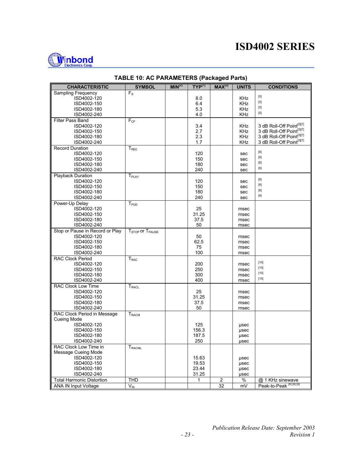

| <b>CHARACTERISTIC</b>            | <b>SYMBOL</b>                           | MIN <sup>[2]</sup> | $TYP^{[1]}$ | $MAX^{[2]}$ | <b>UNITS</b> | <b>CONDITIONS</b>                                                                                                                                                                     |
|----------------------------------|-----------------------------------------|--------------------|-------------|-------------|--------------|---------------------------------------------------------------------------------------------------------------------------------------------------------------------------------------|
| Sampling Frequency               | $F_S$                                   |                    |             |             |              |                                                                                                                                                                                       |
| ISD4002-120                      |                                         |                    | 8.0         |             | KHz          | $[5] % \begin{center} \includegraphics[width=\linewidth]{imagesSupplemental/Imit} \caption{The image shows the image shows a single number of times.} \label{fig:limal} \end{center}$ |
| ISD4002-150                      |                                         |                    | 6.4         |             | <b>KHz</b>   | $[5]$                                                                                                                                                                                 |
| ISD4002-180                      |                                         |                    | 5.3         |             | <b>KHz</b>   | $[5] % \begin{center} \includegraphics[width=\linewidth]{imagesSupplemental/Imit} \caption{The image shows the image shows a single number of times.} \label{fig:limal} \end{center}$ |
| ISD4002-240                      |                                         |                    | 4.0         |             | KHz          | $[5]$                                                                                                                                                                                 |
| Filter Pass Band                 | $F_{CF}$                                |                    |             |             |              |                                                                                                                                                                                       |
| ISD4002-120                      |                                         |                    | 3.4         |             | KHz          | 3 dB Roll-Off Point[3][7]                                                                                                                                                             |
| ISD4002-150                      |                                         |                    | 2.7         |             | <b>KHz</b>   | 3 dB Roll-Off Point[3][7]                                                                                                                                                             |
| ISD4002-180                      |                                         |                    | 2.3         |             | <b>KHz</b>   | 3 dB Roll-Off Point[3][7]                                                                                                                                                             |
| ISD4002-240                      |                                         |                    | 1.7         |             | <b>KHz</b>   | 3 dB Roll-Off Point[3][7]                                                                                                                                                             |
| <b>Record Duration</b>           | $T_{\mathsf{REC}}$                      |                    |             |             |              | $[6] % \begin{center} \includegraphics[width=\linewidth]{imagesSupplemental/Imit} \caption{The image shows the image shows a single number of times.} \label{fig:limal} \end{center}$ |
| ISD4002-120                      |                                         |                    | 120         |             | sec          | [6]                                                                                                                                                                                   |
| ISD4002-150                      |                                         |                    | 150         |             | sec          | [6]                                                                                                                                                                                   |
| ISD4002-180                      |                                         |                    | 180         |             | sec          | [6]                                                                                                                                                                                   |
| ISD4002-240                      |                                         |                    | 240         |             | sec          |                                                                                                                                                                                       |
| <b>Playback Duration</b>         | $T_{\text{PIAY}}$                       |                    | 120         |             |              | [6]                                                                                                                                                                                   |
| ISD4002-120<br>ISD4002-150       |                                         |                    | 150         |             | sec          | [6]                                                                                                                                                                                   |
| ISD4002-180                      |                                         |                    | 180         |             | sec<br>sec   | [6]                                                                                                                                                                                   |
| ISD4002-240                      |                                         |                    | 240         |             | sec          | [6]                                                                                                                                                                                   |
| Power-Up Delay                   | $\mathsf{T}_{\mathsf{PUD}}$             |                    |             |             |              |                                                                                                                                                                                       |
| ISD4002-120                      |                                         |                    | 25          |             | msec         |                                                                                                                                                                                       |
| ISD4002-150                      |                                         |                    | 31.25       |             | msec         |                                                                                                                                                                                       |
| ISD4002-180                      |                                         |                    | 37.5        |             | msec         |                                                                                                                                                                                       |
| ISD4002-240                      |                                         |                    | 50          |             | msec         |                                                                                                                                                                                       |
| Stop or Pause in Record or Play  | T <sub>STOP</sub> or T <sub>PAUSE</sub> |                    |             |             |              |                                                                                                                                                                                       |
| ISD4002-120                      |                                         |                    | 50          |             | msec         |                                                                                                                                                                                       |
| ISD4002-150                      |                                         |                    | 62.5        |             | msec         |                                                                                                                                                                                       |
| ISD4002-180                      |                                         |                    | 75          |             | msec         |                                                                                                                                                                                       |
| ISD4002-240                      |                                         |                    | 100         |             | msec         |                                                                                                                                                                                       |
| <b>RAC Clock Period</b>          | T <sub>RAC</sub>                        |                    |             |             |              |                                                                                                                                                                                       |
| ISD4002-120                      |                                         |                    | 200         |             | msec         | $[10]$                                                                                                                                                                                |
| ISD4002-150                      |                                         |                    | 250         |             | msec         | $[10]$                                                                                                                                                                                |
| ISD4002-180                      |                                         |                    | 300         |             | msec         | $[10]$                                                                                                                                                                                |
| ISD4002-240                      |                                         |                    | 400         |             | msec         | $[10]$                                                                                                                                                                                |
| <b>RAC Clock Low Time</b>        | $T_{RACL}$                              |                    |             |             |              |                                                                                                                                                                                       |
| ISD4002-120                      |                                         |                    | 25          |             | msec         |                                                                                                                                                                                       |
| ISD4002-150                      |                                         |                    | 31.25       |             | msec         |                                                                                                                                                                                       |
| ISD4002-180                      |                                         |                    | 37.5        |             | msec         |                                                                                                                                                                                       |
| ISD4002-240                      |                                         |                    | 50          |             | msec         |                                                                                                                                                                                       |
| RAC Clock Period in Message      | $T_{RACM}$                              |                    |             |             |              |                                                                                                                                                                                       |
| Cueing Mode                      |                                         |                    |             |             |              |                                                                                                                                                                                       |
| ISD4002-120                      |                                         |                    | 125         |             | usec         |                                                                                                                                                                                       |
| ISD4002-150                      |                                         |                    | 156.3       |             | usec         |                                                                                                                                                                                       |
| ISD4002-180                      |                                         |                    | 187.5       |             | µsec         |                                                                                                                                                                                       |
| ISD4002-240                      |                                         |                    | 250         |             | usec         |                                                                                                                                                                                       |
| RAC Clock Low Time in            | <b>T</b> <sub>RACML</sub>               |                    |             |             |              |                                                                                                                                                                                       |
| Message Cueing Mode              |                                         |                    |             |             |              |                                                                                                                                                                                       |
| ISD4002-120                      |                                         |                    | 15.63       |             | usec         |                                                                                                                                                                                       |
| ISD4002-150                      |                                         |                    | 19.53       |             | usec         |                                                                                                                                                                                       |
| ISD4002-180                      |                                         |                    | 23.44       |             | usec         |                                                                                                                                                                                       |
| ISD4002-240                      |                                         |                    | 31.25       |             | usec         |                                                                                                                                                                                       |
| <b>Total Harmonic Distortion</b> | <b>THD</b>                              |                    | 1           | 2           | %            | @ 1 KHz sinewave<br>Peak-to-Peak <sup>[4][8][9]</sup>                                                                                                                                 |
| <b>ANA IN Input Voltage</b>      | $V_{\text{IN}}$                         |                    |             | 32          | mV           |                                                                                                                                                                                       |

#### **TABLE 10: AC PARAMETERS (Packaged Parts)**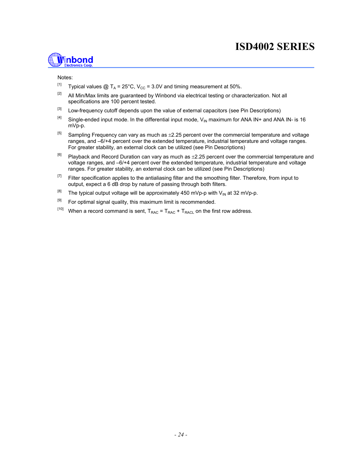

#### Notes:

- <sup>[1]</sup> Typical values @ T<sub>A</sub> = 25°C, V<sub>CC</sub> = 3.0V and timing measurement at 50%.
- <sup>[2]</sup> All Min/Max limits are guaranteed by Winbond via electrical testing or characterization. Not all specifications are 100 percent tested.
- <sup>[3]</sup> Low-frequency cutoff depends upon the value of external capacitors (see Pin Descriptions)
- <sup>[4]</sup> Single-ended input mode. In the differential input mode,  $V_{IN}$  maximum for ANA IN+ and ANA IN- is 16 mVp-p.
- $[5]$  Sampling Frequency can vary as much as  $\pm 2.25$  percent over the commercial temperature and voltage ranges, and –6/+4 percent over the extended temperature, industrial temperature and voltage ranges. For greater stability, an external clock can be utilized (see Pin Descriptions)
- $[6]$  Playback and Record Duration can vary as much as  $\pm 2.25$  percent over the commercial temperature and voltage ranges, and –6/+4 percent over the extended temperature, industrial temperature and voltage ranges. For greater stability, an external clock can be utilized (see Pin Descriptions)
- <sup>[7]</sup> Filter specification applies to the antialiasing filter and the smoothing filter. Therefore, from input to output, expect a 6 dB drop by nature of passing through both filters.
- <sup>[8]</sup> The typical output voltage will be approximately 450 mVp-p with V<sub>IN</sub> at 32 mVp-p.
- <sup>[9]</sup> For optimal signal quality, this maximum limit is recommended.
- <sup>[10]</sup> When a record command is sent,  $T_{RAC} = T_{RAC} + T_{RACL}$  on the first row address.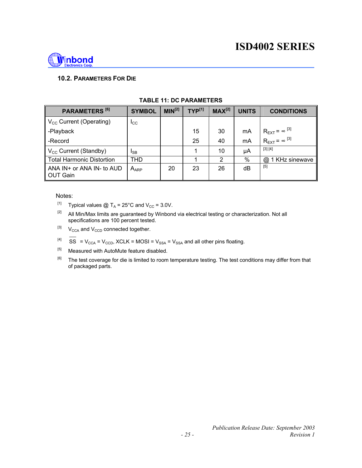

#### **10.2. PARAMETERS FOR DIE**

| PARAMETERS <sup>[6]</sup>                 | <b>SYMBOL</b>    | $MIN^{[2]}$ | $TYP^{[1]}$ | $MAX^{[2]}$ | <b>UNITS</b> | <b>CONDITIONS</b>                          |
|-------------------------------------------|------------------|-------------|-------------|-------------|--------------|--------------------------------------------|
| $V_{\text{cc}}$ Current (Operating)       | $_{\rm lcc}$     |             |             |             |              |                                            |
| -Playback                                 |                  |             | 15          | 30          | mA           | $R_{\text{EXT}}$ = $\infty$ <sup>[3]</sup> |
| -Record                                   |                  |             | 25          | 40          | mA           | $R_{\text{EXT}} = \infty^{[3]}$            |
| $V_{\text{cc}}$ Current (Standby)         | <sub>ISB</sub>   |             |             | 10          | μA           | [3] [4]                                    |
| <b>Total Harmonic Distortion</b>          | <b>THD</b>       |             |             | 2           | $\%$         | 1 KHz sinewave<br>$^{\circledR}$           |
| ANA $IN+$ or ANA $IN-$ to AUD<br>OUT Gain | A <sub>ARP</sub> | 20          | 23          | 26          | dВ           | $[5]$                                      |

#### **TABLE 11: DC PARAMETERS**

#### Notes:

- <sup>[1]</sup> Typical values @ T<sub>A</sub> = 25°C and V<sub>CC</sub> = 3.0V.
- $[2]$  All Min/Max limits are guaranteed by Winbond via electrical testing or characterization. Not all specifications are 100 percent tested.
- $[3]$  V<sub>CCA</sub> and V<sub>CCD</sub> connected together.
- <sup>[4]</sup> SS =  $V_{CCA}$  =  $V_{CCD}$ , XCLK = MOSI =  $V_{SSA}$  =  $V_{SSA}$  and all other pins floating.
- $[5]$  Measured with AutoMute feature disabled.
- <sup>[6]</sup> The test coverage for die is limited to room temperature testing. The test conditions may differ from that of packaged parts.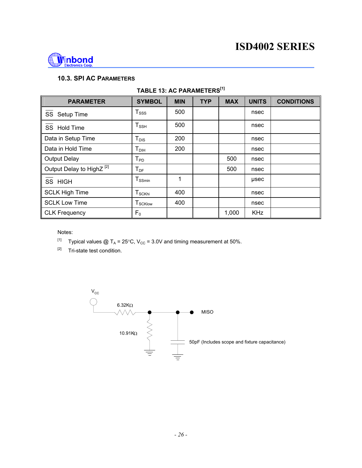

#### **10.3. SPI AC PARAMETERS**

| <b>PARAMETER</b>                     | <b>SYMBOL</b>                   | <b>MIN</b> | <b>TYP</b> | <b>MAX</b> | <b>UNITS</b> | <b>CONDITIONS</b> |
|--------------------------------------|---------------------------------|------------|------------|------------|--------------|-------------------|
| SS Setup Time                        | $T_{SSS}$                       | 500        |            |            | nsec         |                   |
| SS Hold Time                         | $T_{\scriptscriptstyle\rm SSH}$ | 500        |            |            | nsec         |                   |
| Data in Setup Time                   | $T_{DIS}$                       | 200        |            |            | nsec         |                   |
| Data in Hold Time                    | $T_{DH}$                        | 200        |            |            | nsec         |                   |
| <b>Output Delay</b>                  | $T_{\mathsf{PD}}$               |            |            | 500        | nsec         |                   |
| Output Delay to HighZ <sup>[2]</sup> | $T_{DF}$                        |            |            | 500        | nsec         |                   |
| SS HIGH                              | $T_{SSmin}$                     | 1          |            |            | usec         |                   |
| <b>SCLK High Time</b>                | $T_{\scriptstyle\text{SCKhi}}$  | 400        |            |            | nsec         |                   |
| <b>SCLK Low Time</b>                 | <b>T</b> <sub>SCKlow</sub>      | 400        |            |            | nsec         |                   |
| CLK Frequency                        | $F_0$                           |            |            | 1,000      | <b>KHz</b>   |                   |

#### **TABLE 13: AC PARAMETERS[1]**

Notes:

[1] Typical values  $@T_A = 25°C, V_{CC} = 3.0V$  and timing measurement at 50%.

[2] Tri-state test condition.

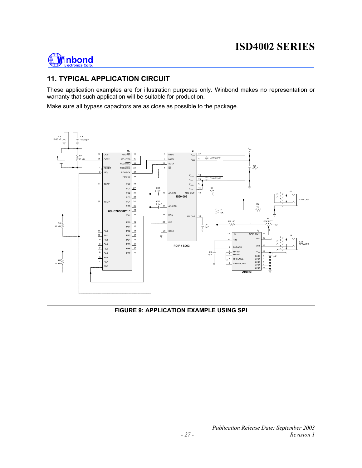

#### **11. TYPICAL APPLICATION CIRCUIT**

These application examples are for illustration purposes only. Winbond makes no representation or warranty that such application will be suitable for production.

Make sure all bypass capacitors are as close as possible to the package.



#### **FIGURE 9: APPLICATION EXAMPLE USING SPI**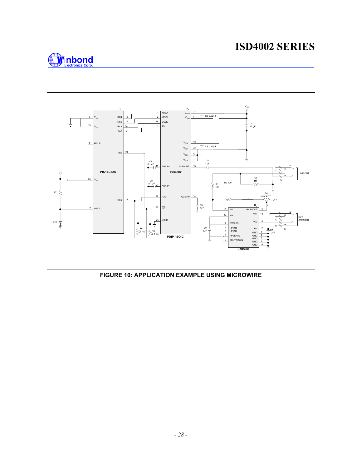



**FIGURE 10: APPLICATION EXAMPLE USING MICROWIRE**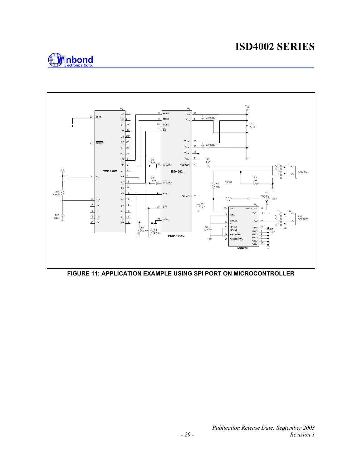

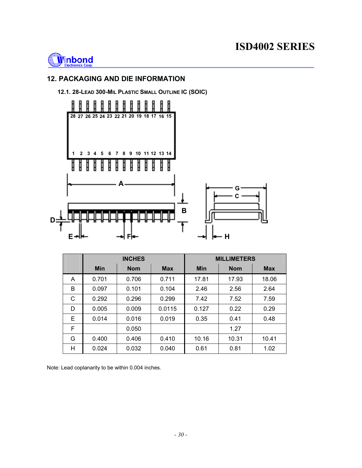

#### **12. PACKAGING AND DIE INFORMATION**

#### **12.1. 28-LEAD 300-MIL PLASTIC SMALL OUTLINE IC (SOIC)**



|    | <b>INCHES</b> |            |            |       | <b>MILLIMETERS</b> |            |
|----|---------------|------------|------------|-------|--------------------|------------|
|    | <b>Min</b>    | <b>Nom</b> | <b>Max</b> | Min   | <b>Nom</b>         | <b>Max</b> |
| A  | 0.701         | 0.706      | 0.711      | 17.81 | 17.93              | 18.06      |
| B  | 0.097         | 0.101      | 0.104      | 2.46  | 2.56               | 2.64       |
| С  | 0.292         | 0.296      | 0.299      | 7.42  | 7.52               | 7.59       |
| D  | 0.005         | 0.009      | 0.0115     | 0.127 | 0.22               | 0.29       |
| E. | 0.014         | 0.016      | 0.019      | 0.35  | 0.41               | 0.48       |
| F  |               | 0.050      |            |       | 1.27               |            |
| G  | 0.400         | 0.406      | 0.410      | 10.16 | 10.31              | 10.41      |
| Η  | 0.024         | 0.032      | 0.040      | 0.61  | 0.81               | 1.02       |

Note: Lead coplanarity to be within 0.004 inches.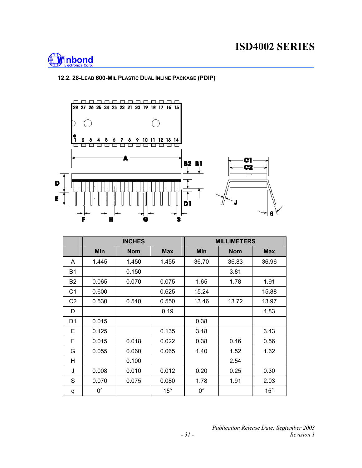

#### **12.2. 28-LEAD 600-MIL PLASTIC DUAL INLINE PACKAGE (PDIP)**



|                | <b>INCHES</b> |            |              | <b>MILLIMETERS</b> |            |              |
|----------------|---------------|------------|--------------|--------------------|------------|--------------|
|                | <b>Min</b>    | <b>Nom</b> | <b>Max</b>   | Min                | <b>Nom</b> | <b>Max</b>   |
| A              | 1.445         | 1.450      | 1.455        | 36.70              | 36.83      | 36.96        |
| B <sub>1</sub> |               | 0.150      |              |                    | 3.81       |              |
| B <sub>2</sub> | 0.065         | 0.070      | 0.075        | 1.65               | 1.78       | 1.91         |
| C <sub>1</sub> | 0.600         |            | 0.625        | 15.24              |            | 15.88        |
| C <sub>2</sub> | 0.530         | 0.540      | 0.550        | 13.46              | 13.72      | 13.97        |
| D              |               |            | 0.19         |                    |            | 4.83         |
| D <sub>1</sub> | 0.015         |            |              | 0.38               |            |              |
| Е              | 0.125         |            | 0.135        | 3.18               |            | 3.43         |
| F              | 0.015         | 0.018      | 0.022        | 0.38               | 0.46       | 0.56         |
| G              | 0.055         | 0.060      | 0.065        | 1.40               | 1.52       | 1.62         |
| H              |               | 0.100      |              |                    | 2.54       |              |
| J              | 0.008         | 0.010      | 0.012        | 0.20               | 0.25       | 0.30         |
| S              | 0.070         | 0.075      | 0.080        | 1.78               | 1.91       | 2.03         |
| q              | $0^{\circ}$   |            | $15^{\circ}$ | $0^{\circ}$        |            | $15^{\circ}$ |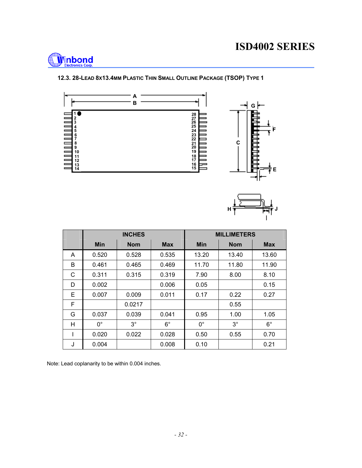

#### **12.3. 28-LEAD 8X13.4MM PLASTIC THIN SMALL OUTLINE PACKAGE (TSOP) TYPE 1**





|   | <b>INCHES</b> |            |             |             | <b>MILLIMETERS</b> |             |
|---|---------------|------------|-------------|-------------|--------------------|-------------|
|   | <b>Min</b>    | <b>Nom</b> | <b>Max</b>  | <b>Min</b>  | <b>Nom</b>         | <b>Max</b>  |
| A | 0.520         | 0.528      | 0.535       | 13.20       | 13.40              | 13.60       |
| B | 0.461         | 0.465      | 0.469       | 11.70       | 11.80              | 11.90       |
| С | 0.311         | 0.315      | 0.319       | 7.90        | 8.00               | 8.10        |
| D | 0.002         |            | 0.006       | 0.05        |                    | 0.15        |
| E | 0.007         | 0.009      | 0.011       | 0.17        | 0.22               | 0.27        |
| F |               | 0.0217     |             |             | 0.55               |             |
| G | 0.037         | 0.039      | 0.041       | 0.95        | 1.00               | 1.05        |
| H | $0^{\circ}$   | $3^\circ$  | $6^{\circ}$ | $0^{\circ}$ | $3^\circ$          | $6^{\circ}$ |
|   | 0.020         | 0.022      | 0.028       | 0.50        | 0.55               | 0.70        |
| J | 0.004         |            | 0.008       | 0.10        |                    | 0.21        |

Note: Lead coplanarity to be within 0.004 inches.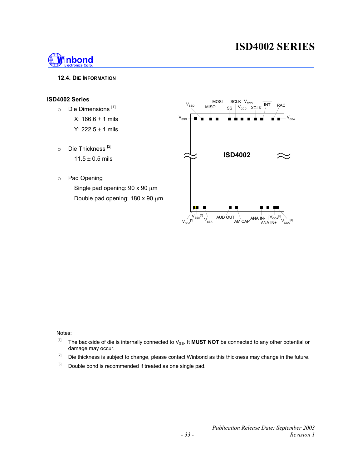

#### **12.4. DIE INFORMATION**

#### **ISD4002 Series**

- o Die Dimensions [1] X:  $166.6 \pm 1$  mils
	- Y:  $222.5 \pm 1$  mils
- $\circ$  Die Thickness<sup>[2]</sup>  $11.5 \pm 0.5$  mils
- o Pad Opening Single pad opening: 90 x 90  $\mu$ m Double pad opening: 180 x 90 µm



Notes:

- [1] The backside of die is internally connected to V<sub>SS</sub>. It **MUST NOT** be connected to any other potential or damage may occur.
- <sup>[2]</sup> Die thickness is subject to change, please contact Winbond as this thickness may change in the future.
- [3] Double bond is recommended if treated as one single pad.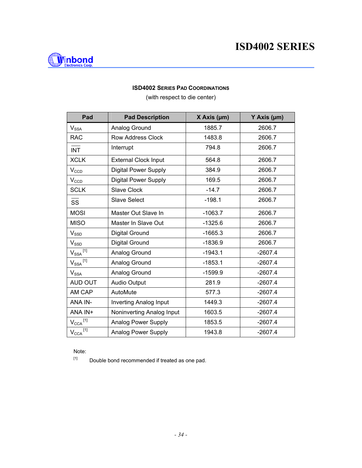

#### **ISD4002 SERIES PAD COORDINATIONS**

(with respect to die center)

| Pad                             | <b>Pad Description</b>        | $X$ Axis ( $\mu$ m) | Y Axis (µm) |
|---------------------------------|-------------------------------|---------------------|-------------|
| $\mathsf{V}_{\mathsf{SSA}}$     | Analog Ground                 | 1885.7              | 2606.7      |
| <b>RAC</b>                      | <b>Row Address Clock</b>      | 1483.8              | 2606.7      |
| <b>INT</b>                      | Interrupt                     | 794.8               | 2606.7      |
| <b>XCLK</b>                     | <b>External Clock Input</b>   | 564.8               | 2606.7      |
| $V_{CCD}$                       | <b>Digital Power Supply</b>   | 384.9               | 2606.7      |
| $V_{CCD}$                       | <b>Digital Power Supply</b>   | 169.5               | 2606.7      |
| <b>SCLK</b>                     | <b>Slave Clock</b>            | $-14.7$             | 2606.7      |
| SS                              | <b>Slave Select</b>           | $-198.1$            | 2606.7      |
| <b>MOSI</b>                     | Master Out Slave In           | $-1063.7$           | 2606.7      |
| <b>MISO</b>                     | Master In Slave Out           | $-1325.6$           | 2606.7      |
| $\mathsf{V}_{\texttt{SSD}}$     | Digital Ground                | $-1665.3$           | 2606.7      |
| $V_{\text{SSD}}$                | Digital Ground                | $-1836.9$           | 2606.7      |
| $\mathsf{V_{SSA}}^{\text{[1]}}$ | Analog Ground                 | $-1943.1$           | $-2607.4$   |
| $V_\mathrm{SSA}$ <sup>[1]</sup> | Analog Ground                 | $-1853.1$           | $-2607.4$   |
| $\mathsf{V}_{\mathsf{SSA}}$     | Analog Ground                 | $-1599.9$           | $-2607.4$   |
| AUD OUT                         | <b>Audio Output</b>           | 281.9               | $-2607.4$   |
| AM CAP                          | AutoMute                      | 577.3               | $-2607.4$   |
| ANA IN-                         | <b>Inverting Analog Input</b> | 1449.3              | $-2607.4$   |
| ANA IN+                         | Noninverting Analog Input     | 1603.5              | $-2607.4$   |
| $V_{\text{CCA}}$ <sup>[1]</sup> | <b>Analog Power Supply</b>    | 1853.5              | $-2607.4$   |
| $V_{\text{CCA}}$ <sup>[1]</sup> | <b>Analog Power Supply</b>    | 1943.8              | $-2607.4$   |

Note:

 $[1]$  Double bond recommended if treated as one pad.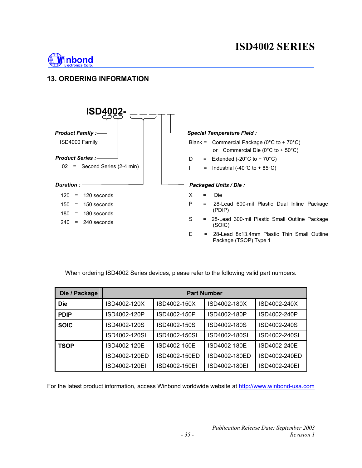

### **13. ORDERING INFORMATION**



When ordering ISD4002 Series devices, please refer to the following valid part numbers.

| Die / Package | <b>Part Number</b> |               |               |               |  |  |
|---------------|--------------------|---------------|---------------|---------------|--|--|
| <b>Die</b>    | ISD4002-120X       | ISD4002-150X  | ISD4002-180X  | ISD4002-240X  |  |  |
| <b>PDIP</b>   | ISD4002-120P       | ISD4002-150P  | ISD4002-180P  | ISD4002-240P  |  |  |
| <b>SOIC</b>   | ISD4002-120S       | ISD4002-150S  | ISD4002-180S  | ISD4002-240S  |  |  |
|               | ISD4002-120SI      | ISD4002-150SI | ISD4002-180SI | ISD4002-240SI |  |  |
| <b>TSOP</b>   | ISD4002-120E       | ISD4002-150E  | ISD4002-180E  | ISD4002-240E  |  |  |
|               | ISD4002-120ED      | ISD4002-150ED | ISD4002-180ED | ISD4002-240ED |  |  |
|               | ISD4002-120EI      | ISD4002-150EI | ISD4002-180EI | ISD4002-240EI |  |  |

For the latest product information, access Winbond worldwide website at http://www.winbond-usa.com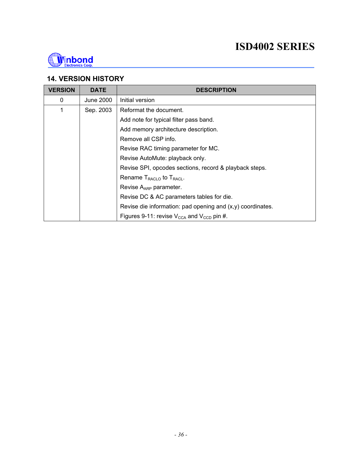

#### **14. VERSION HISTORY**

| <b>VERSION</b> | <b>DATE</b> | <b>DESCRIPTION</b>                                                |  |  |  |
|----------------|-------------|-------------------------------------------------------------------|--|--|--|
| $\mathbf 0$    | June 2000   | Initial version                                                   |  |  |  |
| 1              | Sep. 2003   | Reformat the document.                                            |  |  |  |
|                |             | Add note for typical filter pass band.                            |  |  |  |
|                |             | Add memory architecture description.                              |  |  |  |
|                |             | Remove all CSP info.                                              |  |  |  |
|                |             | Revise RAC timing parameter for MC.                               |  |  |  |
|                |             | Revise AutoMute: playback only.                                   |  |  |  |
|                |             | Revise SPI, opcodes sections, record & playback steps.            |  |  |  |
|                |             | Rename $T_{RACLO}$ to $T_{RACL}$ .                                |  |  |  |
|                |             | Revise $A_{APP}$ parameter.                                       |  |  |  |
|                |             | Revise DC & AC parameters tables for die.                         |  |  |  |
|                |             | Revise die information: pad opening and $(x,y)$ coordinates.      |  |  |  |
|                |             | Figures 9-11: revise $V_{\text{CCA}}$ and $V_{\text{CCD}}$ pin #. |  |  |  |